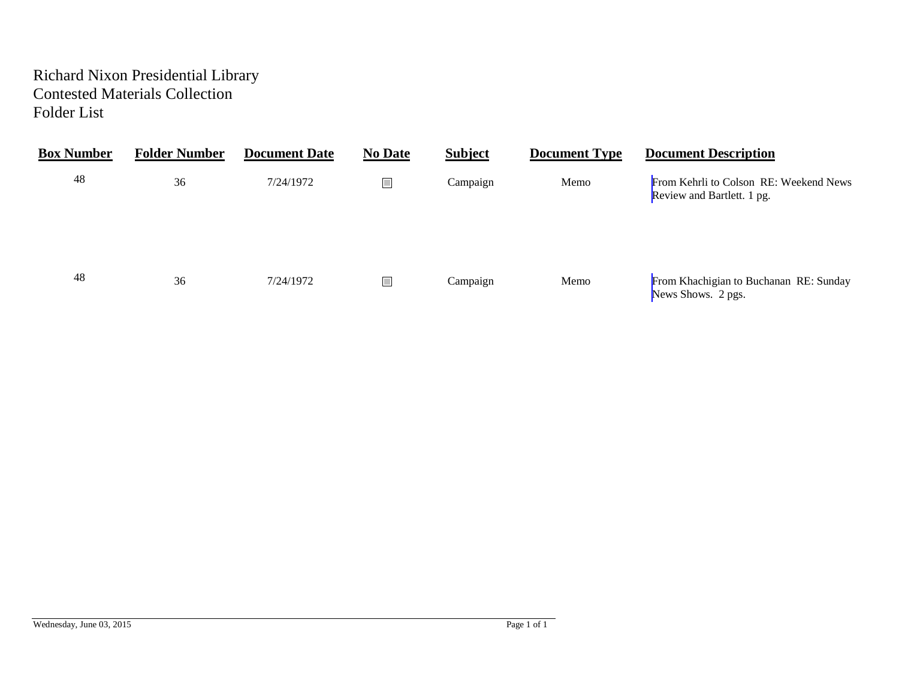# Richard Nixon Presidential Library Contested Materials Collection Folder List

| <b>Box Number</b> | <b>Folder Number</b> | <b>Document Date</b> | <b>No Date</b> | <b>Subject</b> | <b>Document Type</b> | <b>Document Description</b>                                          |
|-------------------|----------------------|----------------------|----------------|----------------|----------------------|----------------------------------------------------------------------|
| 48                | 36                   | 7/24/1972            | $\Box$         | Campaign       | Memo                 | From Kehrli to Colson RE: Weekend News<br>Review and Bartlett. 1 pg. |
| 48                | 36                   | 7/24/1972            | u,             | Campaign       | Memo                 | From Khachigian to Buchanan RE: Sunday<br>News Shows. 2 pgs.         |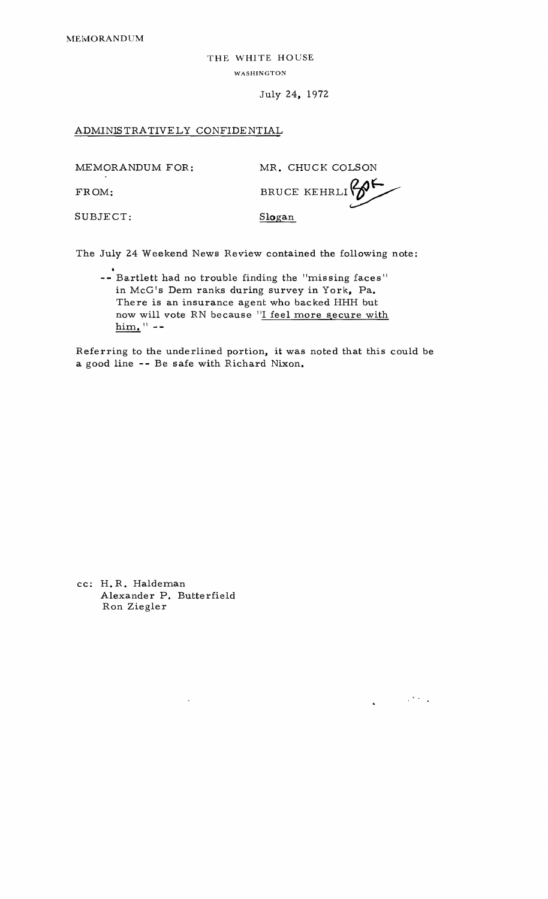THE WHITE HOUSE WASHINGTON

July 24, 1972

## <span id="page-1-0"></span>ADMINISTRATIVELY CONFIDENTIAL

MEMORANDUM FOR: MR. CHUCK COLSON FROM: BRUCE KEHRLI

 $\label{eq:2.1} \frac{1}{4}\left(\frac{1}{\sqrt{2}}\right)^{2} \left(\frac{1}{2}\right)^{2} \left(\frac{1}{2}\right)^{2} \left(\frac{1}{2}\right)^{2}$ 

SUBJECT: Slogan

The July 24 Weekend News Review contained the following note:

• **--** Bartlett had no trouble finding the "missing faces" in McG's Dem ranks during survey in York, Pa. There is an insurance agent who backed HHH but now will vote RN because "I feel more secure with  $\lim_{n \to \infty}$   $\lim_{n \to \infty}$ 

Referring to the underlined portion, it was noted that this could be a good line -- Be safe with Richard Nixon.

cc: H.R. Haldeman Alexander P. Butterfield Ron Ziegler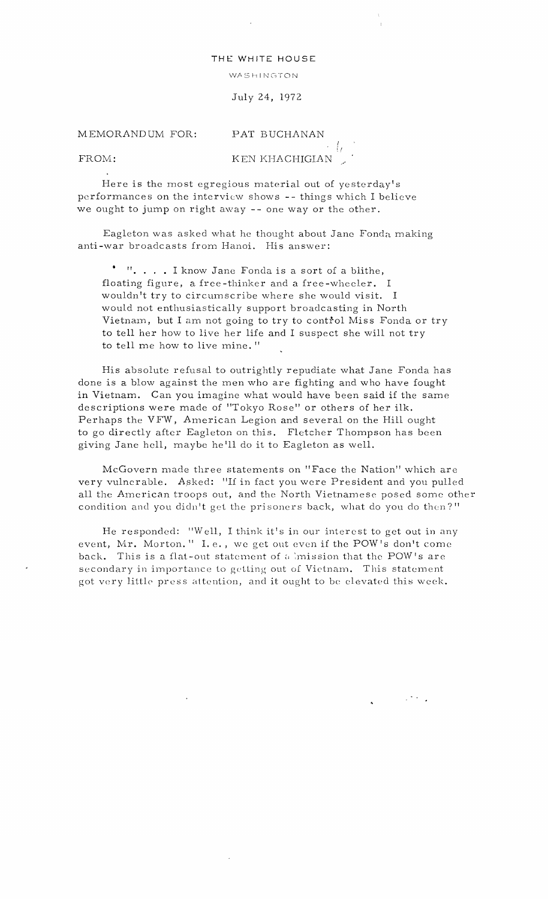## THE WHITE HOUSE

### WASHINGTON

July 24, 1972

#### MEMORANDUM FOR: PAT BUCHANAN

<span id="page-2-0"></span> $^{\prime}_{!}$ FROM: KEN KHACHIGIAN

Here is the most egregious material out of yesterday's performances on the interview shows **--** things which I believe we ought to jump on right away **--** one way or the other.

Eagleton was asked what he thought about Jane Fonda making anti-war broadcasts from Hanoi. His answer:

". . . . I know Jane Fonda is a sort of a blithe, floating figure, a free-thinker and a free-wheeler. I wouldn't try to circumscribe where she would visit. I would not enthusiastically support broadcasting in North Vietnam, but I am not going to try to control Miss Fonda or try to tell her how to live her life and I suspect she will not try to tell me how to live mine. "

His absolute refusal to outrightly repudiate what Jane Fonda has done is a blow against the men who are fighting and who have fought in Vietnam. Can you imagine what would have been said if the same descriptions were made of "Tokyo Rose" or others of her ilk. Perhaps the VFW, American Legion and several on the Hill ought to go directly after Eagleton on this. Fletcher Thompson has been giving Jane hcll, maybe he'll do it to Eagleton as well.

McGovern made three statements on "Face the Nation" which are very vulnerable. Asked: "If in fact you were President and you pulled all the American troops out, and the North Vietnamese posed some other condition and you didn't get the prisoners back, what do you do then?"

He responded: "Well, I think it's in our interest to get out in any event, Mr. Morton." I.e., we get out even if the POW's don't come back. This is a flat-out statement of a imission that the POW's are secondary in importance to getting out of Vietnam. This statement got very little press attention, and it ought to be elevated this week.

 $\mathbb{R}^{n \times n}$  .